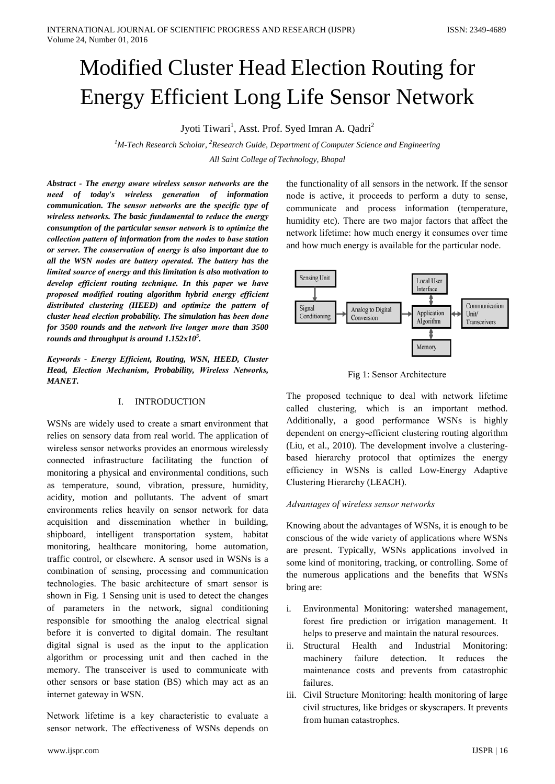# **Modified Cluster Head Election Routing for Energy Efficient Long Life Sensor Network**

Jyoti Tiwari<sup>1</sup>, Asst. Prof. Syed Imran A. Qadri<sup>2</sup>

<sup>1</sup>M-Tech Research Scholar, <sup>2</sup>Research Guide, Department of Computer Science and Engineering All Saint College of Technology, Bhopal

Abstract - The energy aware wireless sensor networks are the need of today's wireless generation of information communication. The sensor networks are the specific type of wireless networks. The basic fundamental to reduce the energy consumption of the particular sensor network is to optimize the collection pattern of information from the nodes to base station or server. The conservation of energy is also important due to all the WSN nodes are battery operated. The battery has the limited source of energy and this limitation is also motivation to develop efficient routing technique. In this paper we have proposed modified routing algorithm hybrid energy efficient distributed clustering (HEED) and optimize the pattern of cluster head election probability. The simulation has been done for 3500 rounds and the network live longer more than 3500 rounds and throughput is around  $1.152x10<sup>5</sup>$ .

Keywords - Energy Efficient, Routing, WSN, HEED, Cluster Head, Election Mechanism, Probability, Wireless Networks, **MANET.** 

## I. INTRODUCTION

WSNs are widely used to create a smart environment that relies on sensory data from real world. The application of wireless sensor networks provides an enormous wirelessly connected infrastructure facilitating the function of monitoring a physical and environmental conditions, such as temperature, sound, vibration, pressure, humidity, acidity, motion and pollutants. The advent of smart environments relies heavily on sensor network for data acquisition and dissemination whether in building, shipboard, intelligent transportation system, habitat monitoring, healthcare monitoring, home automation, traffic control, or elsewhere. A sensor used in WSNs is a combination of sensing, processing and communication technologies. The basic architecture of smart sensor is shown in Fig. 1 Sensing unit is used to detect the changes of parameters in the network, signal conditioning responsible for smoothing the analog electrical signal before it is converted to digital domain. The resultant digital signal is used as the input to the application algorithm or processing unit and then cached in the memory. The transceiver is used to communicate with other sensors or base station (BS) which may act as an internet gateway in WSN.

Network lifetime is a key characteristic to evaluate a sensor network. The effectiveness of WSNs depends on

the functionality of all sensors in the network. If the sensor node is active, it proceeds to perform a duty to sense, communicate and process information (temperature, humidity etc). There are two major factors that affect the network lifetime: how much energy it consumes over time and how much energy is available for the particular node.



Fig 1: Sensor Architecture

The proposed technique to deal with network lifetime called clustering, which is an important method. Additionally, a good performance WSNs is highly dependent on energy-efficient clustering routing algorithm (Liu, et al., 2010). The development involve a clusteringbased hierarchy protocol that optimizes the energy efficiency in WSNs is called Low-Energy Adaptive Clustering Hierarchy (LEACH).

## Advantages of wireless sensor networks

Knowing about the advantages of WSNs, it is enough to be conscious of the wide variety of applications where WSNs are present. Typically, WSNs applications involved in some kind of monitoring, tracking, or controlling. Some of the numerous applications and the benefits that WSNs bring are:

- $\mathbf{i}$ . Environmental Monitoring: watershed management, forest fire prediction or irrigation management. It helps to preserve and maintain the natural resources.
- ii. Structural Health and Industrial Monitoring: machinery failure detection. It reduces the maintenance costs and prevents from catastrophic failures.
- iii. Civil Structure Monitoring: health monitoring of large civil structures, like bridges or skyscrapers. It prevents from human catastrophes.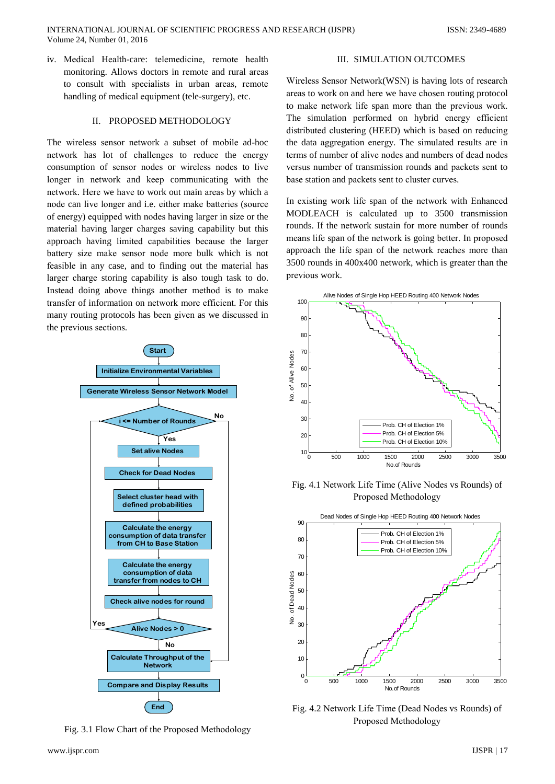iv. Medical Health-care: telemedicine, remote health monitoring. Allows doctors in remote and rural areas to consult with specialists in urban areas, remote handling of medical equipment (tele-surgery), etc.

### II. PROPOSED METHODOLOGY

The wireless sensor network a subset of mobile ad-hoc network has lot of challenges to reduce the energy consumption of sensor nodes or wireless nodes to live longer in network and keep communicating with the network. Here we have to work out main areas by which a node can live longer and i.e. either make batteries (source of energy) equipped with nodes having larger in size or the material having larger charges saving capability but this approach having limited capabilities because the larger battery size make sensor node more bulk which is not feasible in any case, and to finding out the material has larger charge storing capability is also tough task to do. Instead doing above things another method is to make transfer of information on network more efficient. For this many routing protocols has been given as we discussed in the previous sections.



Fig. 3.1 Flow Chart of the Proposed Methodology

### **III. SIMULATION OUTCOMES**

Wireless Sensor Network (WSN) is having lots of research areas to work on and here we have chosen routing protocol to make network life span more than the previous work. The simulation performed on hybrid energy efficient distributed clustering (HEED) which is based on reducing the data aggregation energy. The simulated results are in terms of number of alive nodes and numbers of dead nodes versus number of transmission rounds and packets sent to base station and packets sent to cluster curves.

In existing work life span of the network with Enhanced MODLEACH is calculated up to 3500 transmission rounds. If the network sustain for more number of rounds means life span of the network is going better. In proposed approach the life span of the network reaches more than 3500 rounds in 400x400 network, which is greater than the previous work.



Fig. 4.1 Network Life Time (Alive Nodes vs Rounds) of Proposed Methodology



Fig. 4.2 Network Life Time (Dead Nodes vs Rounds) of Proposed Methodology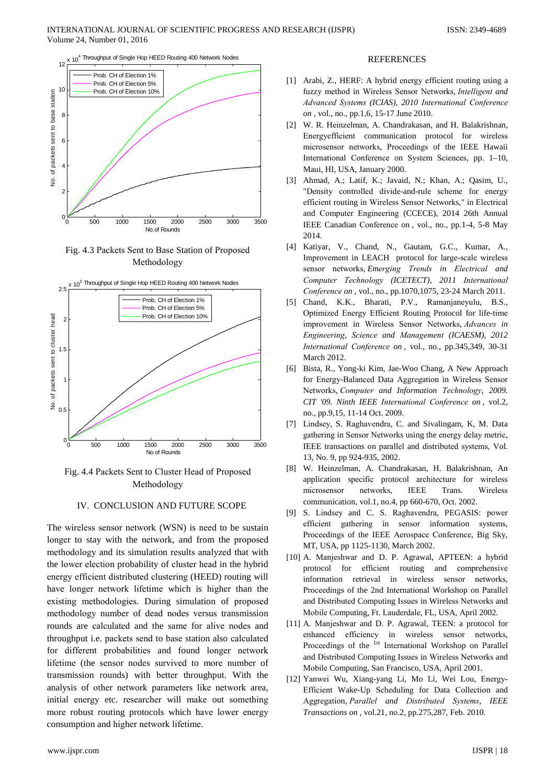$x$  10<sup>4</sup> Throughput of Single Hop HEED Routing 400 Network Nodes



Fig. 4.3 Packets Sent to Base Station of Proposed Methodology



Fig. 4.4 Packets Sent to Cluster Head of Proposed Methodology

## IV. CONCLUSION AND FUTURE SCOPE

The wireless sensor network (WSN) is need to be sustain longer to stay with the network, and from the proposed methodology and its simulation results analyzed that with the lower election probability of cluster head in the hybrid energy efficient distributed clustering (HEED) routing will have longer network lifetime which is higher than the existing methodologies. During simulation of proposed methodology number of dead nodes versus transmission rounds are calculated and the same for alive nodes and throughput i.e. packets send to base station also calculated for different probabilities and found longer network lifetime (the sensor nodes survived to more number of transmission rounds) with better throughput. With the analysis of other network parameters like network area, initial energy etc. researcher will make out something more robust routing protocols which have lower energy consumption and higher network lifetime.

#### **REFERENCES**

- [1] Arabi, Z., HERF: A hybrid energy efficient routing using a fuzzy method in Wireless Sensor Networks, Intelligent and Advanced Systems (ICIAS), 2010 International Conference on, vol., no., pp.1,6, 15-17 June 2010.
- W. R. Heinzelman, A. Chandrakasan, and H. Balakrishnan,  $\lceil 2 \rceil$ Energy efficient communication protocol for wireless microsensor networks, Proceedings of the IEEE Hawaii International Conference on System Sciences, pp. 1-10, Maui. HI. USA. January 2000.
- [3] Ahmad, A.; Latif, K.; Javaid, N.; Khan, A.; Qasim, U., "Density controlled divide-and-rule scheme for energy efficient routing in Wireless Sensor Networks," in Electrical and Computer Engineering (CCECE), 2014 26th Annual IEEE Canadian Conference on, vol., no., pp.1-4, 5-8 May 2014.
- [4] Katiyar, V., Chand, N., Gautam, G.C., Kumar, A., Improvement in LEACH protocol for large-scale wireless sensor networks, Emerging Trends in Electrical and Computer Technology (ICETECT), 2011 International Conference on, vol., no., pp.1070,1075, 23-24 March 2011.
- Chand, K.K., Bharati, P.V., Ramanjaneyulu, B.S.,  $\lceil 5 \rceil$ Optimized Energy Efficient Routing Protocol for life-time improvement in Wireless Sensor Networks, Advances in Engineering, Science and Management (ICAESM), 2012 International Conference on, vol., no., pp.345,349, 30-31 March 2012.
- $[6]$ Bista, R., Yong-ki Kim, Jae-Woo Chang, A New Approach for Energy-Balanced Data Aggregation in Wireless Sensor Networks, Computer and Information Technology, 2009. CIT '09. Ninth IEEE International Conference on, vol.2, no., pp.9,15, 11-14 Oct. 2009.
- [7] Lindsey, S. Raghavendra, C. and Sivalingam, K. M. Data gathering in Sensor Networks using the energy delay metric, IEEE transactions on parallel and distributed systems, Vol. 13, No. 9, pp 924-935, 2002.
- [8] W. Heinzelman, A. Chandrakasan, H. Balakrishnan, An application specific protocol architecture for wireless microsensor networks, **IEEE** Trans. Wireless communication, vol.1, no.4, pp 660-670, Oct. 2002.
- [9] S. Lindsey and C. S. Raghavendra, PEGASIS: power efficient gathering in sensor information systems, Proceedings of the IEEE Aerospace Conference, Big Sky, MT, USA, pp 1125-1130, March 2002.
- [10] A. Manjeshwar and D. P. Agrawal, APTEEN: a hybrid protocol for efficient routing and comprehensive information retrieval in wireless sensor networks, Proceedings of the 2nd International Workshop on Parallel and Distributed Computing Issues in Wireless Networks and Mobile Computing, Ft. Lauderdale, FL, USA, April 2002.
- [11] A. Manjeshwar and D. P. Agrawal, TEEN: a protocol for enhanced efficiency in wireless sensor networks, Proceedings of the <sup>1st</sup> International Workshop on Parallel and Distributed Computing Issues in Wireless Networks and Mobile Computing, San Francisco, USA, April 2001.
- [12] Yanwei Wu, Xiang-yang Li, Mo Li, Wei Lou, Energy-Efficient Wake-Up Scheduling for Data Collection and Aggregation, Parallel and Distributed Systems, IEEE Transactions on, vol.21, no.2, pp.275,287, Feb. 2010.